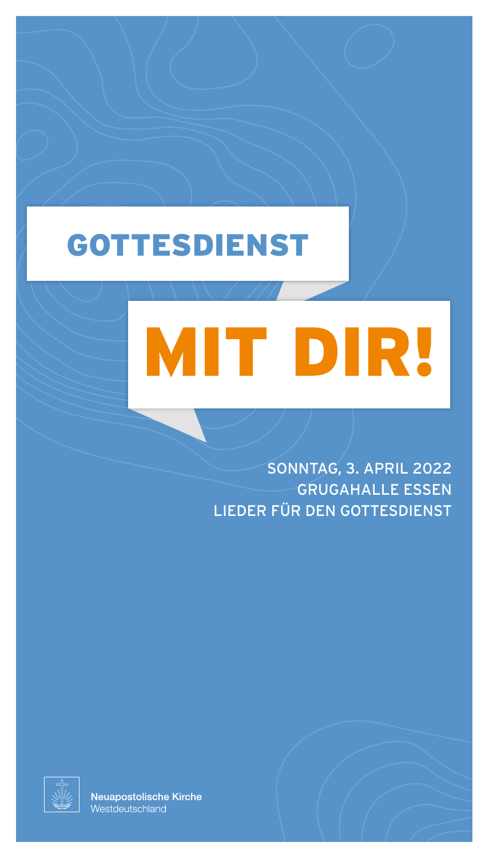### GOTTESDIENST

### 

 SONNTAG, 3. APRIL 2022 GRUGAHALLE ESSEN LIEDER FÜR DEN GOTTESDIENST



### **Neuapostolische Kirche** Westdeutschland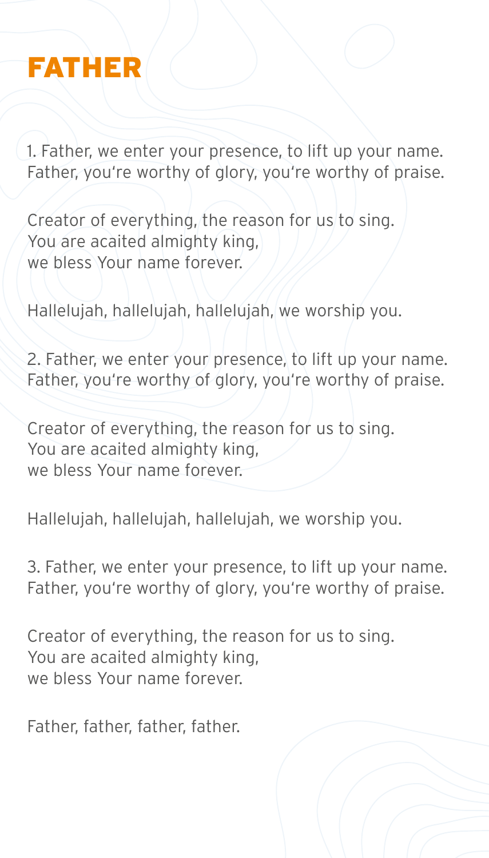### FATHER

1. Father, we enter your presence, to lift up your name. Father, you're worthy of glory, you're worthy of praise.

2. Father, we enter your presence, to lift up your name. Father, you're worthy of glory, you're worthy of praise.

Creator of everything, the reason for us to sing. You are acaited almighty king, we bless Your name forever.

Hallelujah, hallelujah, hallelujah, we worship you.

Creator of everything, the reason for us to sing. You are acaited almighty king, we bless Your name forever.

Hallelujah, hallelujah, hallelujah, we worship you.

3. Father, we enter your presence, to lift up your name. Father, you're worthy of glory, you're worthy of praise.

Creator of everything, the reason for us to sing. You are acaited almighty king, we bless Your name forever.

### Father, father, father, father.

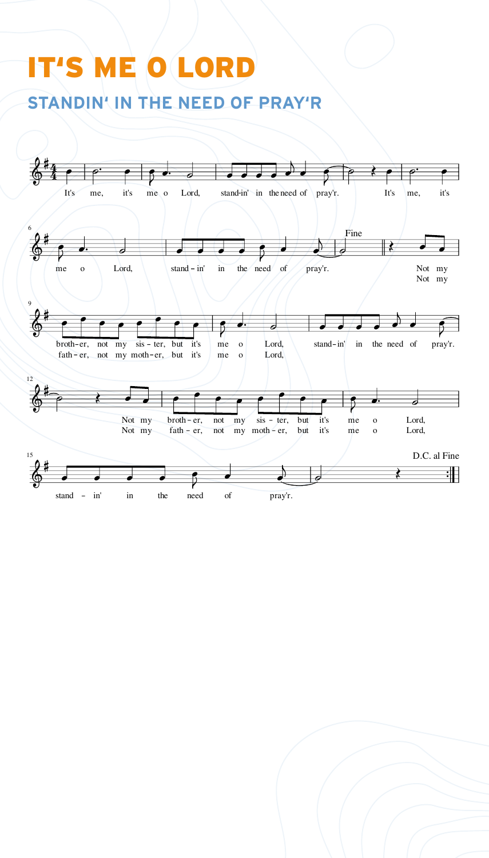### IT'S ME O LORD **STANDIN' IN THE NEED OF PRAY'R** EED OF PRAY



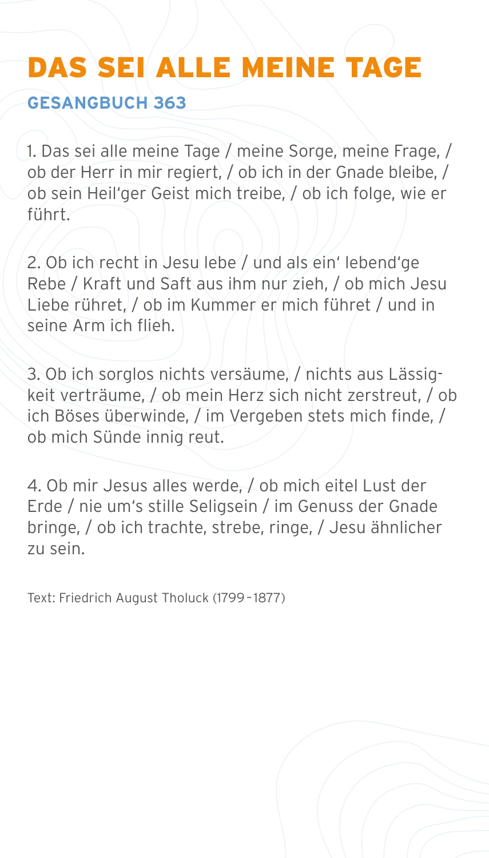### DAS SEI ALLE MEINE TAGE **GESANGBUCH 363**

1. Das sei alle meine Tage / meine Sorge, meine Frage, / ob der Herr in mir regiert, / ob ich in der Gnade bleibe, / ob sein Heil'ger Geist mich treibe, / ob ich folge, wie er führt.

2. Ob ich recht in Jesu lebe / und als ein' lebend'ge Rebe / Kraft und Saft aus ihm nur zieh, / ob mich Jesu Liebe rühret, / ob im Kummer er mich führet / und in seine Arm ich flieh.

3. Ob ich sorglos nichts versäume, / nichts aus Lässigkeit verträume, / ob mein Herz sich nicht zerstreut, / ob ich Böses überwinde, / im Vergeben stets mich finde, / ob mich Sünde innig reut.

4. Ob mir Jesus alles werde, / ob mich eitel Lust der Erde / nie um's stille Seligsein / im Genuss der Gnade bringe, / ob ich trachte, strebe, ringe, / Jesu ähnlicher zu sein.

Text: Friedrich August Tholuck (1799– 1877)

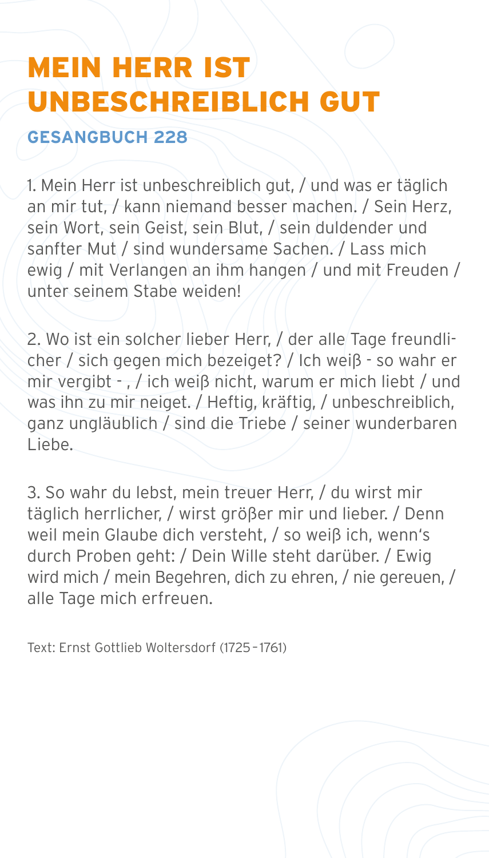### MEIN HERR IST UNBESCHREIBLICH GUT

### **GESANGBUCH 228**

1. Mein Herr ist unbeschreiblich gut, / und was er täglich an mir tut, / kann niemand besser machen. / Sein Herz, sein Wort, sein Geist, sein Blut, / sein duldender und sanfter Mut / sind wundersame Sachen. / Lass mich ewig / mit Verlangen an ihm hangen / und mit Freuden / unter seinem Stabe weiden!

2. Wo ist ein solcher lieber Herr, / der alle Tage freundlicher / sich gegen mich bezeiget? / Ich weiß - so wahr er mir vergibt - , / ich weiß nicht, warum er mich liebt / und was ihn zu mir neiget. / Heftig, kräftig, / unbeschreiblich, ganz ungläublich / sind die Triebe / seiner wunderbaren Liebe.

3. So wahr du lebst, mein treuer Herr, / du wirst mir täglich herrlicher, / wirst größer mir und lieber. / Denn weil mein Glaube dich versteht, / so weiß ich, wenn's durch Proben geht: / Dein Wille steht darüber. / Ewig wird mich / mein Begehren, dich zu ehren, / nie gereuen, / alle Tage mich erfreuen.

Text: Ernst Gottlieb Woltersdorf (1725– 1761)

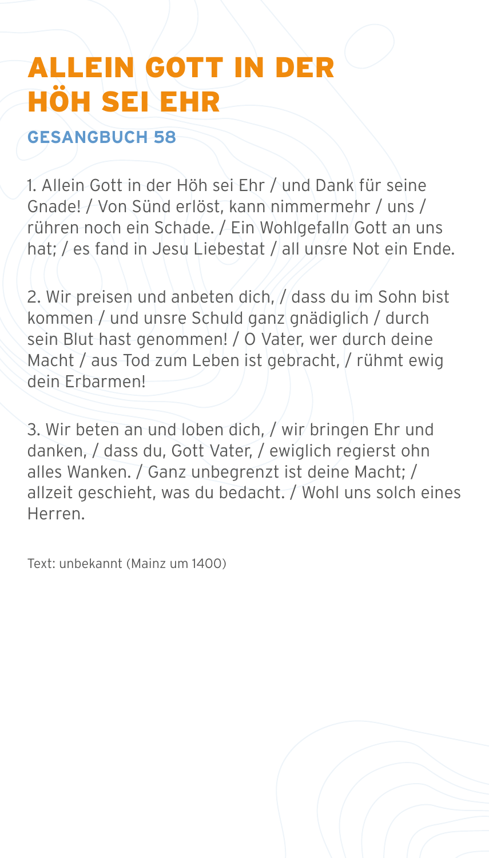### ALLEIN GOTT IN DER HÖH SEI EHR

### **GESANGBUCH 58**

1. Allein Gott in der Höh sei Ehr / und Dank für seine Gnade! / Von Sünd erlöst, kann nimmermehr / uns / rühren noch ein Schade. / Ein Wohlgefalln Gott an uns hat; / es fand in Jesu Liebestat / all unsre Not ein Ende.

2. Wir preisen und anbeten dich, / dass du im Sohn bist kommen / und unsre Schuld ganz gnädiglich / durch sein Blut hast genommen! / O Vater, wer durch deine Macht / aus Tod zum Leben ist gebracht, / rühmt ewig dein Erbarmen!

3. Wir beten an und loben dich, / wir bringen Ehr und danken, / dass du, Gott Vater, / ewiglich regierst ohn alles Wanken. / Ganz unbegrenzt ist deine Macht; / allzeit geschieht, was du bedacht. / Wohl uns solch eines Herren.

Text: unbekannt (Mainz um 1400)

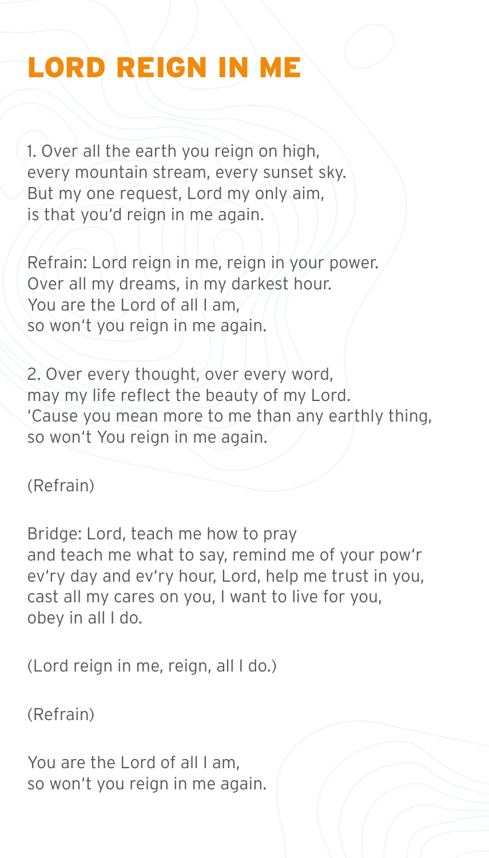### LORD REIGN IN ME

1. Over all the earth you reign on high, every mountain stream, every sunset sky. But my one request, Lord my only aim, is that you'd reign in me again.

Refrain: Lord reign in me, reign in your power. Over all my dreams, in my darkest hour. You are the Lord of all I am, so won't you reign in me again.

2. Over every thought, over every word, may my life reflect the beauty of my Lord. 'Cause you mean more to me than any earthly thing, so won't You reign in me again.

### You are the Lord of all I am, so won't you reign in me again.

(Refrain)

Bridge: Lord, teach me how to pray and teach me what to say, remind me of your pow'r ev'ry day and ev'ry hour, Lord, help me trust in you, cast all my cares on you, I want to live for you, obey in all I do.

(Lord reign in me, reign, all I do.)

### (Refrain)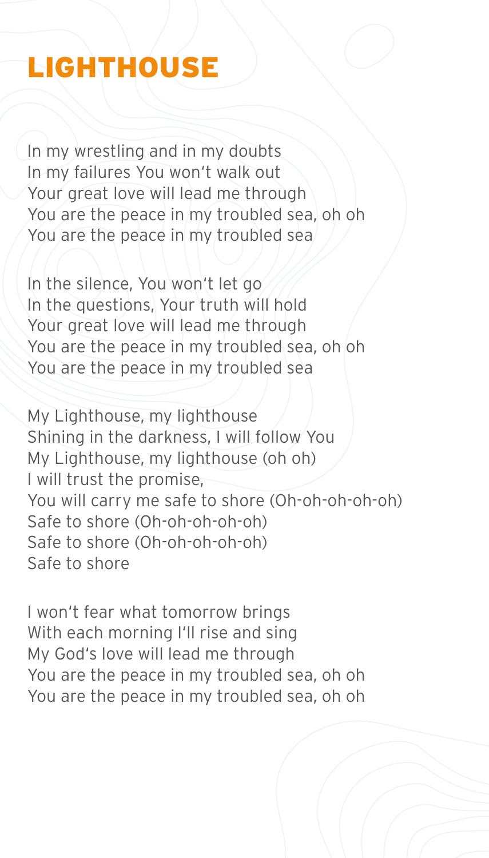### LIGHTHOUSE

In my wrestling and in my doubts In my failures You won't walk out Your great love will lead me through You are the peace in my troubled sea, oh oh You are the peace in my troubled sea

In the silence, You won't let go In the questions, Your truth will hold Your great love will lead me through You are the peace in my troubled sea, oh oh You are the peace in my troubled sea

My Lighthouse, my lighthouse Shining in the darkness, I will follow You My Lighthouse, my lighthouse (oh oh) I will trust the promise, You will carry me safe to shore (Oh-oh-oh-oh-oh) Safe to shore (Oh-oh-oh-oh-oh) Safe to shore (Oh-oh-oh-oh-oh) Safe to shore

I won't fear what tomorrow brings With each morning I'll rise and sing My God's love will lead me through You are the peace in my troubled sea, oh oh

### You are the peace in my troubled sea, oh oh

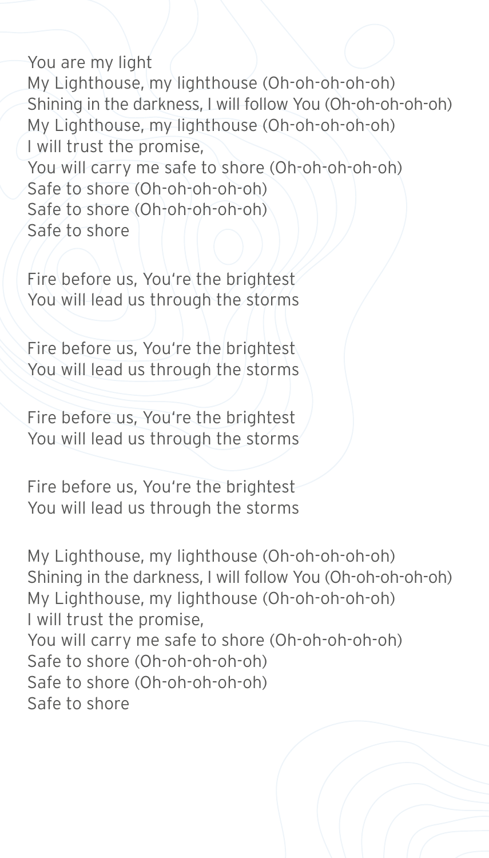You are my light My Lighthouse, my lighthouse (Oh-oh-oh-oh-oh) Shining in the darkness, I will follow You (Oh-oh-oh-oh-oh) My Lighthouse, my lighthouse (Oh-oh-oh-oh-oh) I will trust the promise, You will carry me safe to shore (Oh-oh-oh-oh-oh) Safe to shore (Oh-oh-oh-oh-oh) Safe to shore (Oh-oh-oh-oh-oh) Safe to shore

Fire before us, You're the brightest You will lead us through the storms

Fire before us, You're the brightest You will lead us through the storms

Fire before us, You're the brightest You will lead us through the storms

Fire before us, You're the brightest You will lead us through the storms

My Lighthouse, my lighthouse (Oh-oh-oh-oh-oh) Shining in the darkness, I will follow You (Oh-oh-oh-oh-oh) My Lighthouse, my lighthouse (Oh-oh-oh-oh-oh) I will trust the promise, You will carry me safe to shore (Oh-oh-oh-oh-oh) Safe to shore (Oh-oh-oh-oh-oh) Safe to shore (Oh-oh-oh-oh-oh)

### Safe to shore

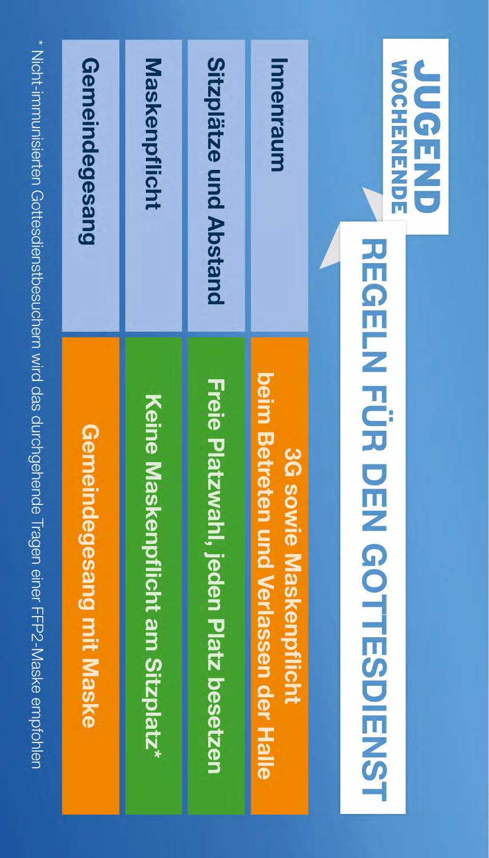1 wird das durchgehende Tragen einer FFP2-Maske empfohlen

### Gemeindegesang mit Maske

## Keine Maskenpflicht am Sitzplatz\*

### **Freie Platzwahl, jeden Platz b**

### beim Betreten und Verlassen der Halle **3G sowie Maskenpflicht**

# NEQR DEN GOTTESDIENST